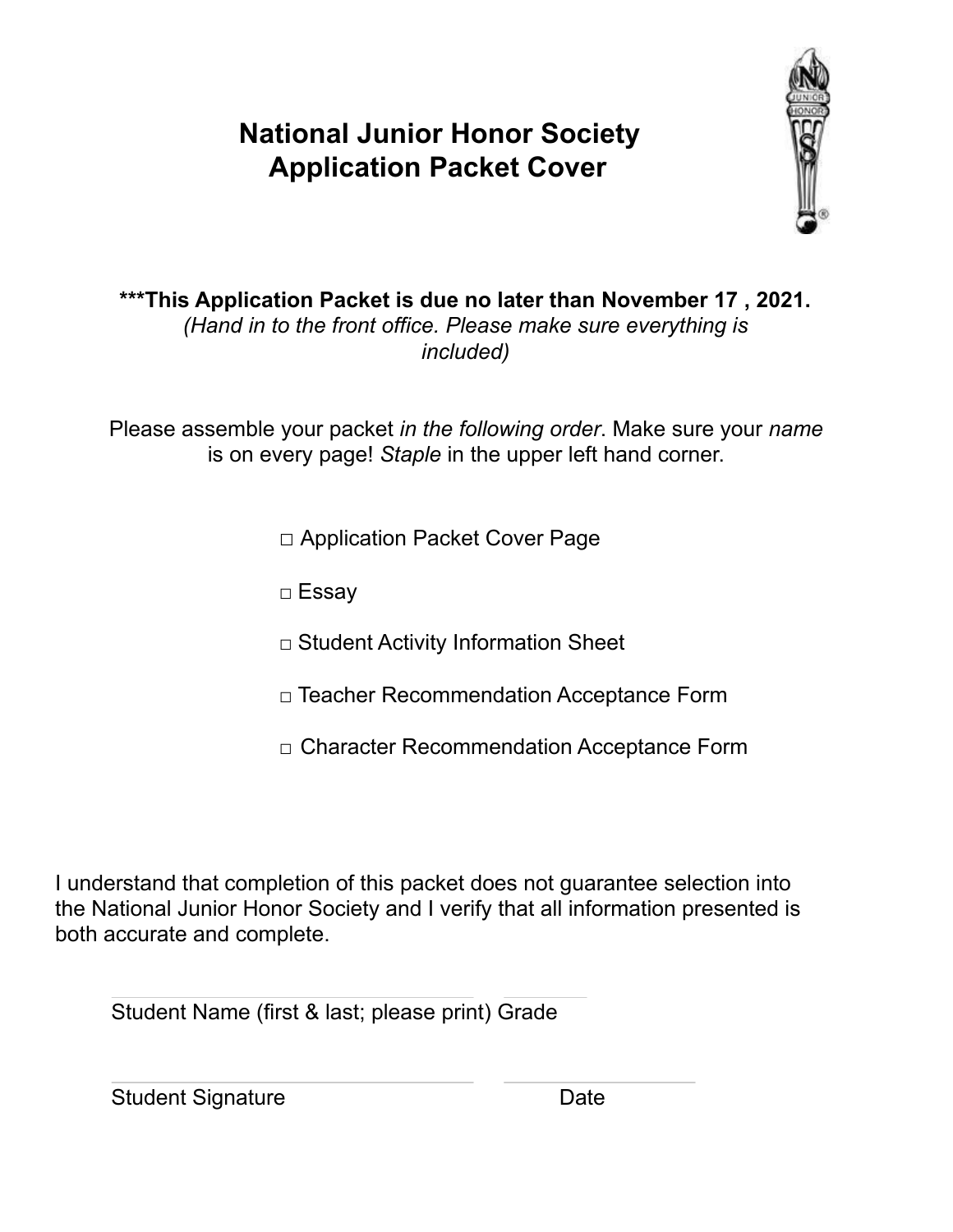# **National Junior Honor Society Application Packet Cover**



**\*\*\*This Application Packet is due no later than November 17 , 2021.** *(Hand in to the front office. Please make sure everything is included)*

Please assemble your packet *in the following order*. Make sure your *name* is on every page! *Staple* in the upper left hand corner.

□ Application Packet Cover Page

□ Essay

□ Student Activity Information Sheet

- □ Teacher Recommendation Acceptance Form
- □ Character Recommendation Acceptance Form

I understand that completion of this packet does not guarantee selection into the National Junior Honor Society and I verify that all information presented is both accurate and complete.

Student Name (first & last; please print) Grade

Student Signature Date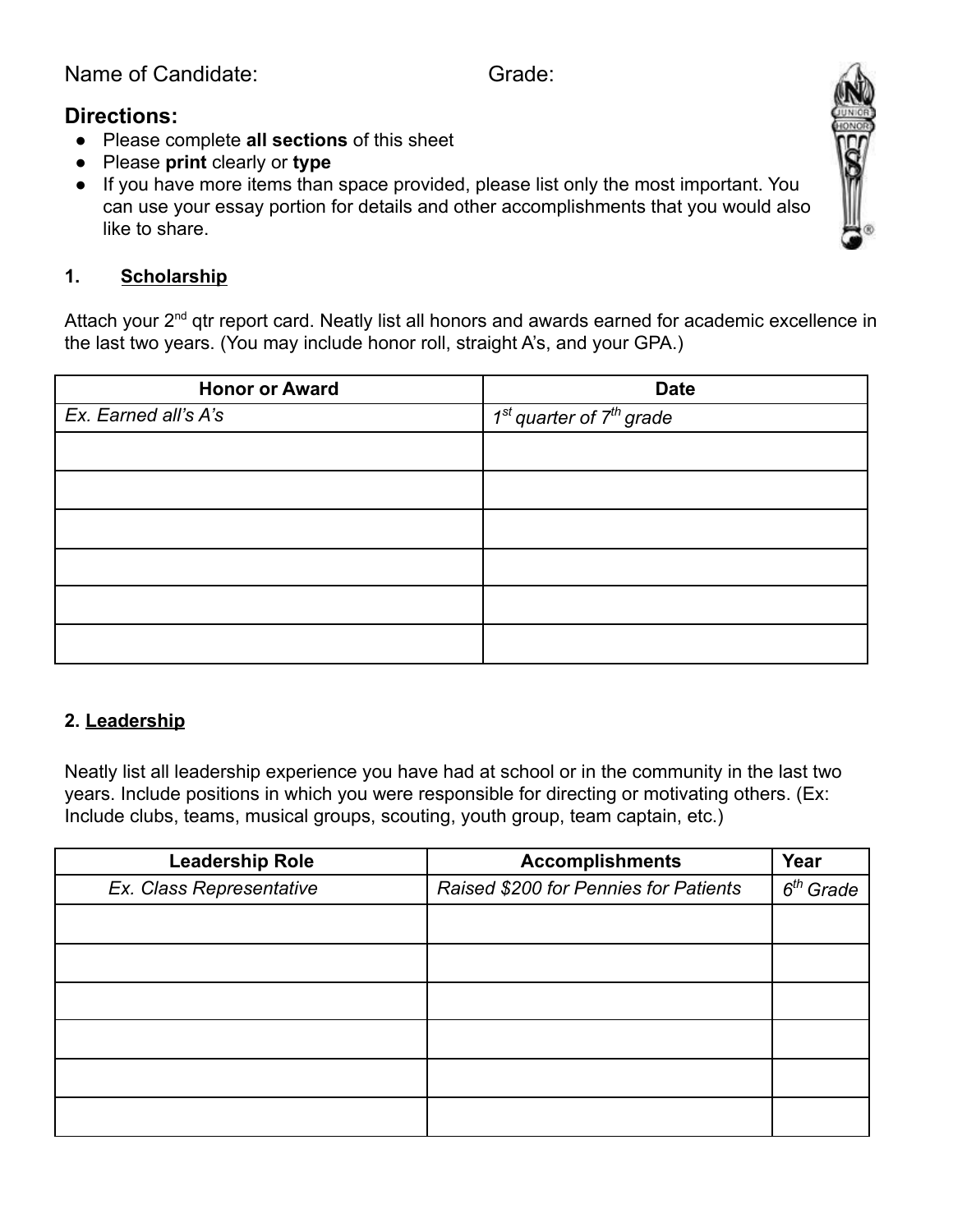Name of Candidate: Grade:

# **Directions:**

- Please complete **all sections** of this sheet
- Please **print** clearly or **type**
- If you have more items than space provided, please list only the most important. You can use your essay portion for details and other accomplishments that you would also like to share.



#### **1. Scholarship**

Attach your 2<sup>nd</sup> qtr report card. Neatly list all honors and awards earned for academic excellence in the last two years. (You may include honor roll, straight A's, and your GPA.)

| <b>Honor or Award</b> | <b>Date</b>                  |  |  |
|-----------------------|------------------------------|--|--|
| Ex. Earned all's A's  | $1st$ quarter of $7th$ grade |  |  |
|                       |                              |  |  |
|                       |                              |  |  |
|                       |                              |  |  |
|                       |                              |  |  |
|                       |                              |  |  |
|                       |                              |  |  |

### **2. Leadership**

Neatly list all leadership experience you have had at school or in the community in the last two years. Include positions in which you were responsible for directing or motivating others. (Ex: Include clubs, teams, musical groups, scouting, youth group, team captain, etc.)

| <b>Leadership Role</b>   | <b>Accomplishments</b>                | Year        |
|--------------------------|---------------------------------------|-------------|
| Ex. Class Representative | Raised \$200 for Pennies for Patients | $6th$ Grade |
|                          |                                       |             |
|                          |                                       |             |
|                          |                                       |             |
|                          |                                       |             |
|                          |                                       |             |
|                          |                                       |             |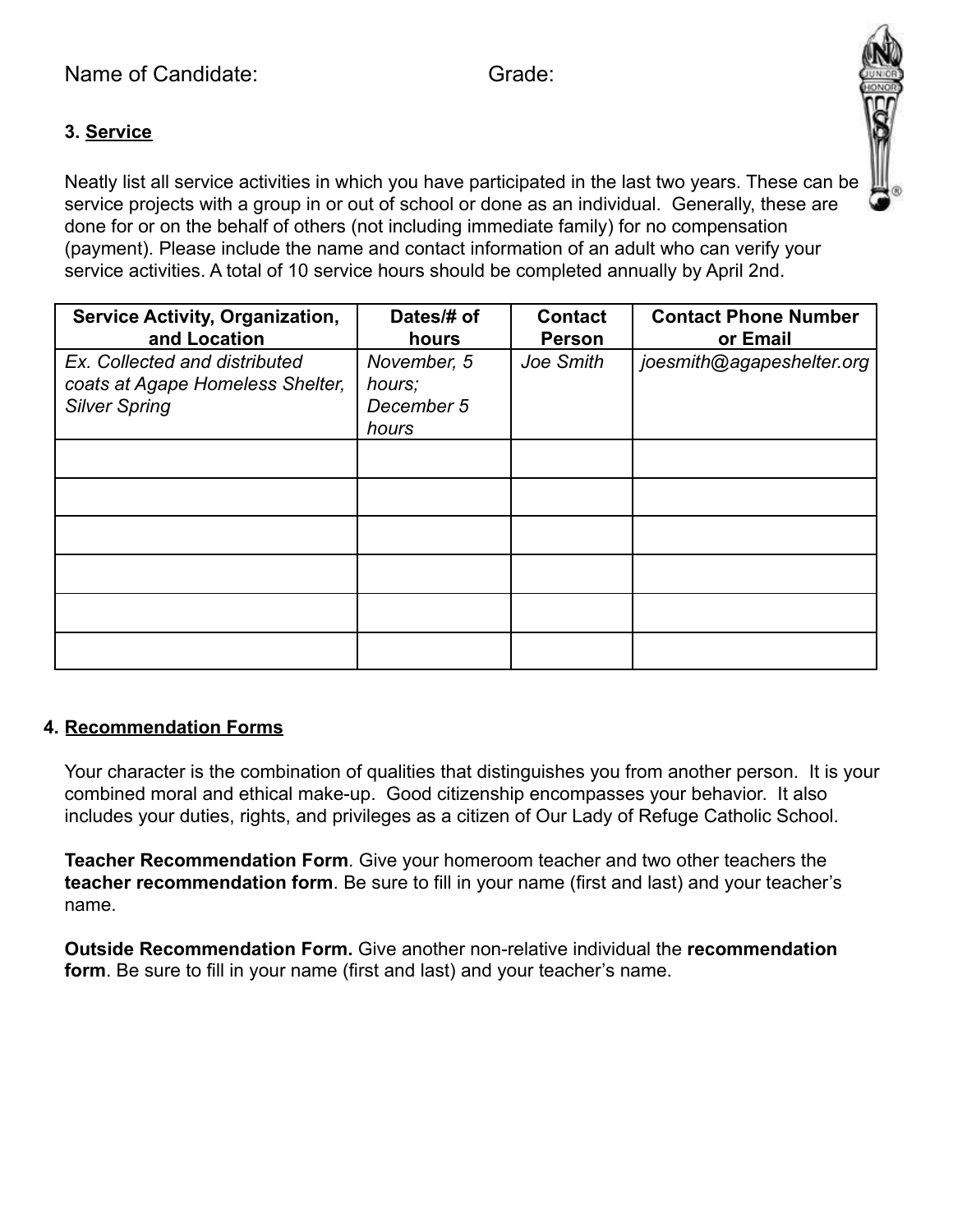## **3. Service**

Neatly list all service activities in which you have participated in the last two years. These can be service projects with a group in or out of school or done as an individual. Generally, these are done for or on the behalf of others (not including immediate family) for no compensation (payment). Please include the name and contact information of an adult who can verify your service activities. A total of 10 service hours should be completed annually by April 2nd.

| <b>Service Activity, Organization,</b><br>and Location                                    | Dates/# of<br>hours                          | <b>Contact</b><br><b>Person</b> | <b>Contact Phone Number</b><br>or Email |
|-------------------------------------------------------------------------------------------|----------------------------------------------|---------------------------------|-----------------------------------------|
| Ex. Collected and distributed<br>coats at Agape Homeless Shelter,<br><b>Silver Spring</b> | November, 5<br>hours;<br>December 5<br>hours | Joe Smith                       | joesmith@agapeshelter.org               |
|                                                                                           |                                              |                                 |                                         |
|                                                                                           |                                              |                                 |                                         |
|                                                                                           |                                              |                                 |                                         |
|                                                                                           |                                              |                                 |                                         |
|                                                                                           |                                              |                                 |                                         |
|                                                                                           |                                              |                                 |                                         |

### **4. Recommendation Forms**

Your character is the combination of qualities that distinguishes you from another person. It is your combined moral and ethical make-up. Good citizenship encompasses your behavior. It also includes your duties, rights, and privileges as a citizen of Our Lady of Refuge Catholic School.

**Teacher Recommendation Form**. Give your homeroom teacher and two other teachers the **teacher recommendation form**. Be sure to fill in your name (first and last) and your teacher's name.

**Outside Recommendation Form.** Give another non-relative individual the **recommendation form**. Be sure to fill in your name (first and last) and your teacher's name.

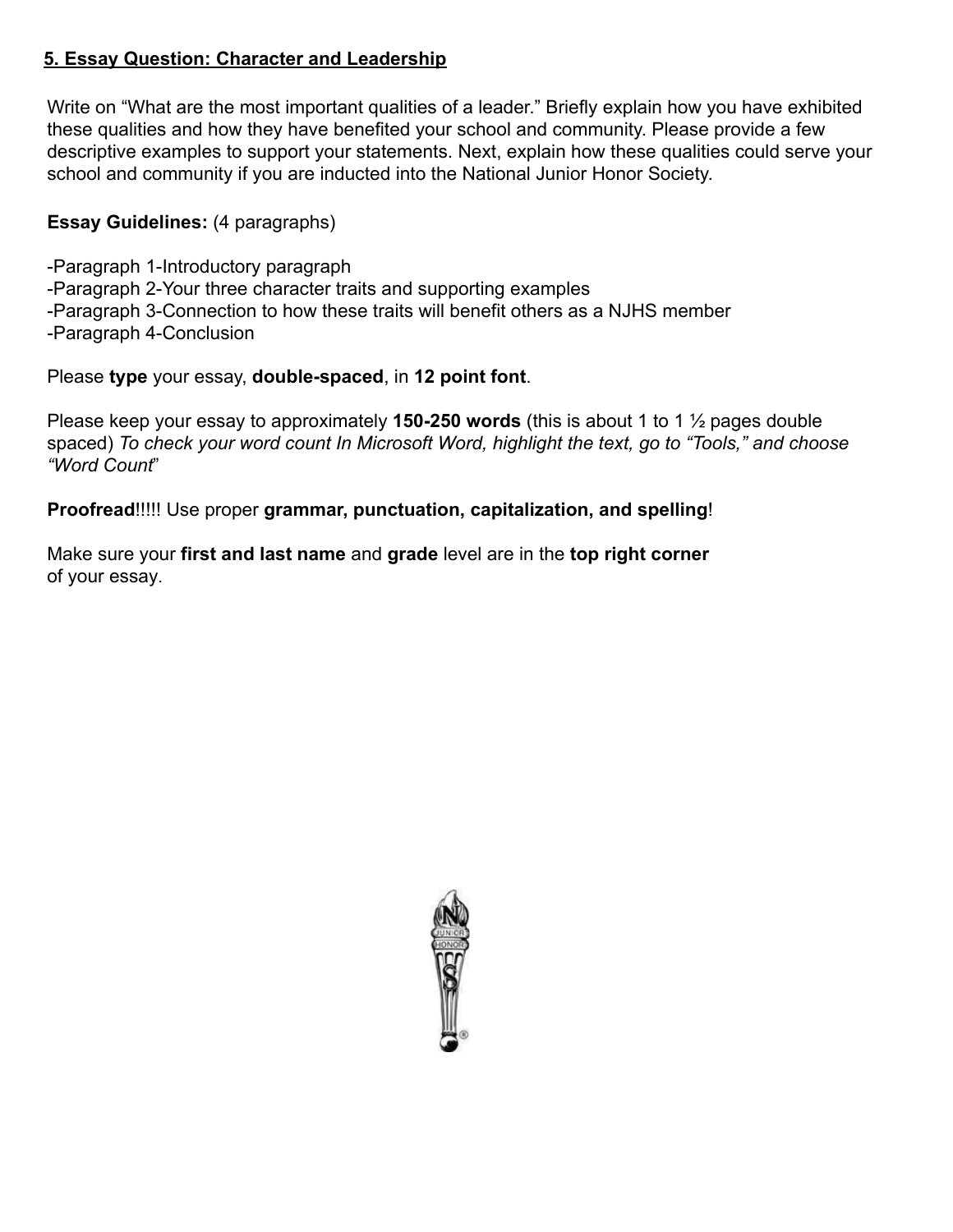#### **5. Essay Question: Character and Leadership**

Write on "What are the most important qualities of a leader." Briefly explain how you have exhibited these qualities and how they have benefited your school and community. Please provide a few descriptive examples to support your statements. Next, explain how these qualities could serve your school and community if you are inducted into the National Junior Honor Society.

### **Essay Guidelines:** (4 paragraphs)

-Paragraph 1-Introductory paragraph -Paragraph 2-Your three character traits and supporting examples -Paragraph 3-Connection to how these traits will benefit others as a NJHS member -Paragraph 4-Conclusion

Please **type** your essay, **double-spaced**, in **12 point font**.

Please keep your essay to approximately **150-250 words** (this is about 1 to 1 ½ pages double spaced) *To check your word count In Microsoft Word, highlight the text, go to "Tools," and choose "Word Count*"

**Proofread**!!!!! Use proper **grammar, punctuation, capitalization, and spelling**!

Make sure your **first and last name** and **grade** level are in the **top right corner** of your essay.